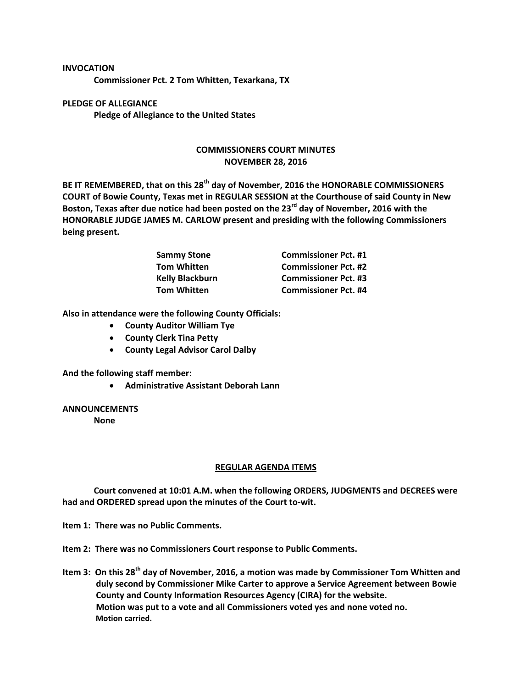## **INVOCATION**

**Commissioner Pct. 2 Tom Whitten, Texarkana, TX**

**PLEDGE OF ALLEGIANCE Pledge of Allegiance to the United States**

## **COMMISSIONERS COURT MINUTES NOVEMBER 28, 2016**

**BE IT REMEMBERED, that on this 28th day of November, 2016 the HONORABLE COMMISSIONERS COURT of Bowie County, Texas met in REGULAR SESSION at the Courthouse of said County in New Boston, Texas after due notice had been posted on the 23rd day of November, 2016 with the HONORABLE JUDGE JAMES M. CARLOW present and presiding with the following Commissioners being present.**

| <b>Sammy Stone</b><br>Tom Whitten | <b>Commissioner Pct. #1</b> |
|-----------------------------------|-----------------------------|
|                                   | <b>Commissioner Pct. #2</b> |
| Kelly Blackburn                   | <b>Commissioner Pct. #3</b> |
| Tom Whitten                       | <b>Commissioner Pct. #4</b> |

**Also in attendance were the following County Officials:**

- **County Auditor William Tye**
- **County Clerk Tina Petty**
- **County Legal Advisor Carol Dalby**

**And the following staff member:**

**Administrative Assistant Deborah Lann**

## **ANNOUNCEMENTS**

**None**

## **REGULAR AGENDA ITEMS**

**Court convened at 10:01 A.M. when the following ORDERS, JUDGMENTS and DECREES were had and ORDERED spread upon the minutes of the Court to-wit.**

**Item 1: There was no Public Comments.**

**Item 2: There was no Commissioners Court response to Public Comments.**

**Item 3: On this 28th day of November, 2016, a motion was made by Commissioner Tom Whitten and duly second by Commissioner Mike Carter to approve a Service Agreement between Bowie County and County Information Resources Agency (CIRA) for the website. Motion was put to a vote and all Commissioners voted yes and none voted no. Motion carried.**